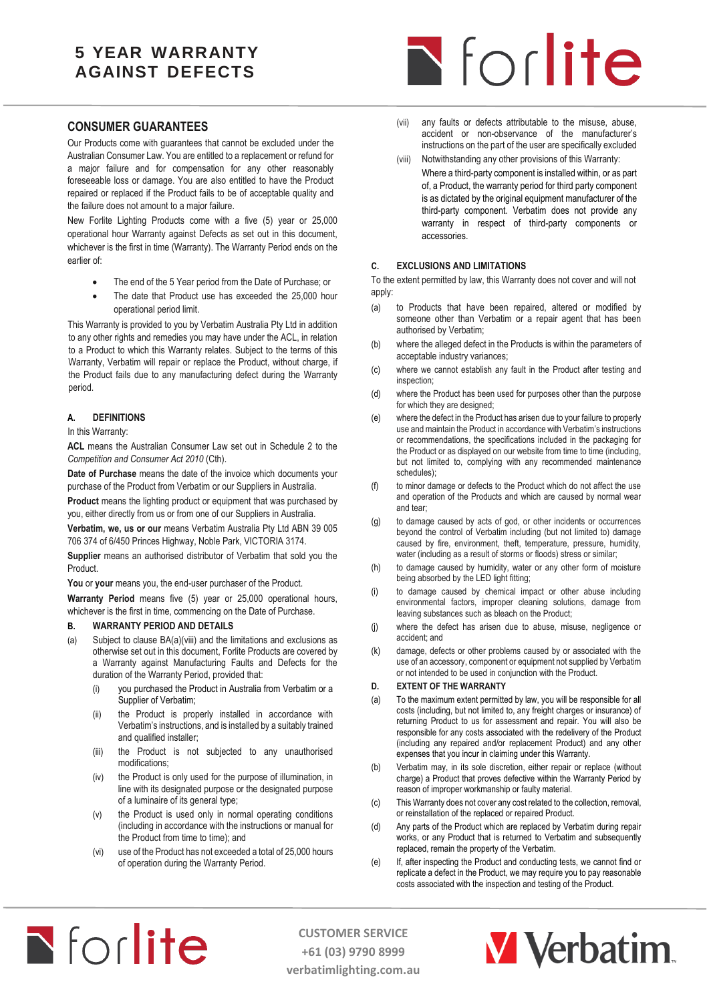## **5 YEAR WARRANTY AGAINST DEFECTS**

# Nforlite

## **CONSUMER GUARANTEES**

Our Products come with guarantees that cannot be excluded under the Australian Consumer Law. You are entitled to a replacement or refund for a major failure and for compensation for any other reasonably foreseeable loss or damage. You are also entitled to have the Product repaired or replaced if the Product fails to be of acceptable quality and the failure does not amount to a major failure.

New Forlite Lighting Products come with a five (5) year or 25,000 operational hour Warranty against Defects as set out in this document, whichever is the first in time (Warranty). The Warranty Period ends on the earlier of:

- The end of the 5 Year period from the Date of Purchase; or
- The date that Product use has exceeded the 25,000 hour operational period limit.

This Warranty is provided to you by Verbatim Australia Pty Ltd in addition to any other rights and remedies you may have under the ACL, in relation to a Product to which this Warranty relates. Subject to the terms of this Warranty, Verbatim will repair or replace the Product, without charge, if the Product fails due to any manufacturing defect during the Warranty period.

#### **A. DEFINITIONS**

#### In this Warranty:

**ACL** means the Australian Consumer Law set out in Schedule 2 to the *Competition and Consumer Act 2010* (Cth).

**Date of Purchase** means the date of the invoice which documents your purchase of the Product from Verbatim or our Suppliers in Australia.

**Product** means the lighting product or equipment that was purchased by you, either directly from us or from one of our Suppliers in Australia.

**Verbatim, we, us or our** means Verbatim Australia Pty Ltd ABN 39 005 706 374 of 6/450 Princes Highway, Noble Park, VICTORIA 3174.

**Supplier** means an authorised distributor of Verbatim that sold you the Product.

**You** or **your** means you, the end-user purchaser of the Product.

**Warranty Period** means five (5) year or 25,000 operational hours, whichever is the first in time, commencing on the Date of Purchase.

#### <span id="page-0-0"></span>**B. WARRANTY PERIOD AND DETAILS**

- (a) Subject to claus[e BA\(a\)\(viii\)](#page-0-0) and the limitations and exclusions as otherwise set out in this document, Forlite Products are covered by a Warranty against Manufacturing Faults and Defects for the duration of the Warranty Period, provided that:
	- (i) you purchased the Product in Australia from Verbatim or a Supplier of Verbatim;
	- (ii) the Product is properly installed in accordance with Verbatim's instructions, and is installed by a suitably trained and qualified installer;
	- (iii) the Product is not subjected to any unauthorised modifications;
	- (iv) the Product is only used for the purpose of illumination, in line with its designated purpose or the designated purpose of a luminaire of its general type;
	- (v) the Product is used only in normal operating conditions (including in accordance with the instructions or manual for the Product from time to time); and
	- (vi) use of the Product has not exceeded a total of 25,000 hours of operation during the Warranty Period.
- (vii) any faults or defects attributable to the misuse, abuse, accident or non-observance of the manufacturer's instructions on the part of the user are specifically excluded
- (viii) Notwithstanding any other provisions of this Warranty: Where a third-party component is installed within, or as part of, a Product, the warranty period for third party component is as dictated by the original equipment manufacturer of the third-party component. Verbatim does not provide any warranty in respect of third-party components or accessories.

#### **C. EXCLUSIONS AND LIMITATIONS**

To the extent permitted by law, this Warranty does not cover and will not apply:

- (a) to Products that have been repaired, altered or modified by someone other than Verbatim or a repair agent that has been authorised by Verbatim;
- (b) where the alleged defect in the Products is within the parameters of acceptable industry variances;
- (c) where we cannot establish any fault in the Product after testing and inspection;
- (d) where the Product has been used for purposes other than the purpose for which they are designed:
- (e) where the defect in the Product has arisen due to your failure to properly use and maintain the Product in accordance with Verbatim's instructions or recommendations, the specifications included in the packaging for the Product or as displayed on our website from time to time (including, but not limited to, complying with any recommended maintenance schedules);
- (f) to minor damage or defects to the Product which do not affect the use and operation of the Products and which are caused by normal wear and tear;
- (g) to damage caused by acts of god, or other incidents or occurrences beyond the control of Verbatim including (but not limited to) damage caused by fire, environment, theft, temperature, pressure, humidity, water (including as a result of storms or floods) stress or similar;
- (h) to damage caused by humidity, water or any other form of moisture being absorbed by the LED light fitting;
- (i) to damage caused by chemical impact or other abuse including environmental factors, improper cleaning solutions, damage from leaving substances such as bleach on the Product;
- (j) where the defect has arisen due to abuse, misuse, negligence or accident; and
- (k) damage, defects or other problems caused by or associated with the use of an accessory, component or equipment not supplied by Verbatim or not intended to be used in conjunction with the Product.

#### **D. EXTENT OF THE WARRANTY**

- (a) To the maximum extent permitted by law, you will be responsible for all costs (including, but not limited to, any freight charges or insurance) of returning Product to us for assessment and repair. You will also be responsible for any costs associated with the redelivery of the Product (including any repaired and/or replacement Product) and any other expenses that you incur in claiming under this Warranty.
- (b) Verbatim may, in its sole discretion, either repair or replace (without charge) a Product that proves defective within the Warranty Period by reason of improper workmanship or faulty material.
- (c) This Warranty does not cover any cost related to the collection, removal, or reinstallation of the replaced or repaired Product.
- (d) Any parts of the Product which are replaced by Verbatim during repair works, or any Product that is returned to Verbatim and subsequently replaced, remain the property of the Verbatim.
- (e) If, after inspecting the Product and conducting tests, we cannot find or replicate a defect in the Product, we may require you to pay reasonable costs associated with the inspection and testing of the Product.



**CUSTOMER SERVICE +61 (03) 9790 8999 verbatimlighting.com.au**